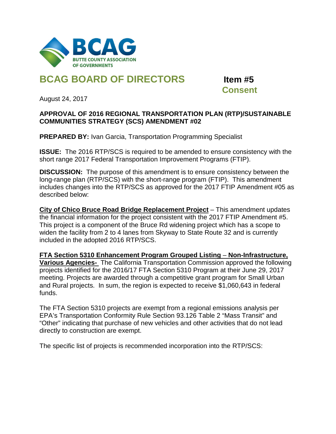

## **BCAG BOARD OF DIRECTORS Item #5**

 **Consent**

August 24, 2017

## **APPROVAL OF 2016 REGIONAL TRANSPORTATION PLAN (RTP)/SUSTAINABLE COMMUNITIES STRATEGY (SCS) AMENDMENT #02**

**PREPARED BY:** Ivan Garcia, Transportation Programming Specialist

**ISSUE:** The 2016 RTP/SCS is required to be amended to ensure consistency with the short range 2017 Federal Transportation Improvement Programs (FTIP).

**DISCUSSION:** The purpose of this amendment is to ensure consistency between the long-range plan (RTP/SCS) with the short-range program (FTIP). This amendment includes changes into the RTP/SCS as approved for the 2017 FTIP Amendment #05 as described below:

**City of Chico Bruce Road Bridge Replacement Project** – This amendment updates the financial information for the project consistent with the 2017 FTIP Amendment #5. This project is a component of the Bruce Rd widening project which has a scope to widen the facility from 2 to 4 lanes from Skyway to State Route 32 and is currently included in the adopted 2016 RTP/SCS.

**FTA Section 5310 Enhancement Program Grouped Listing** – **Non-Infrastructure, Various Agencies-** The California Transportation Commission approved the following projects identified for the 2016/17 FTA Section 5310 Program at their June 29, 2017 meeting. Projects are awarded through a competitive grant program for Small Urban and Rural projects. In sum, the region is expected to receive \$1,060,643 in federal funds.

The FTA Section 5310 projects are exempt from a regional emissions analysis per EPA's Transportation Conformity Rule Section 93.126 Table 2 "Mass Transit" and "Other" indicating that purchase of new vehicles and other activities that do not lead directly to construction are exempt.

The specific list of projects is recommended incorporation into the RTP/SCS: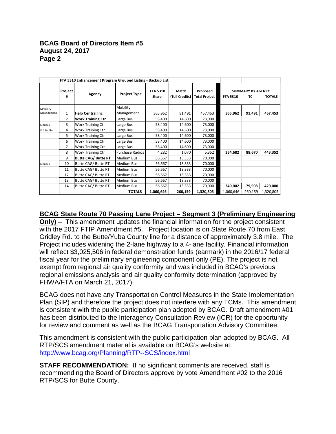## **BCAG Board of Directors Item #5 August 24, 2017 Page 2**

|            | FTA 5310 Enhancement Program Grouped Listing - Backup List |                            |                     |                          |                         |                                  |                 |                                |               |
|------------|------------------------------------------------------------|----------------------------|---------------------|--------------------------|-------------------------|----------------------------------|-----------------|--------------------------------|---------------|
|            | Project<br>#                                               | Agency                     | <b>Project Type</b> | <b>FTA 5310</b><br>Share | Match<br>(Toll Credits) | Proposed<br><b>Total Project</b> | <b>FTA 5310</b> | <b>SUMMARY BY AGENCY</b><br>тс | <b>TOTALS</b> |
| Mobility   |                                                            |                            | Mobility            |                          |                         |                                  |                 |                                |               |
| Maangement | $\mathbf{1}$                                               | <b>Help Central Inc</b>    | Management          | 365,962                  | 91,491                  | 457,453                          | 365,962         | 91,491                         | 457,453       |
|            | 2                                                          | <b>Work Training Ctr</b>   | Large Bus           | 58,400                   | 14,600                  | 73,000                           |                 |                                |               |
| 6 buses    | 3                                                          | Work Training Ctr          | Large Bus           | 58,400                   | 14,600                  | 73,000                           |                 |                                |               |
| & 1 Radio  | 4                                                          | Work Training Ctr          | Large Bus           | 58,400                   | 14,600                  | 73,000                           |                 |                                |               |
|            | 5                                                          | <b>Work Training Ctr</b>   | Large Bus           | 58,400                   | 14,600                  | 73,000                           |                 |                                |               |
|            | 6                                                          | <b>Work Training Ctr</b>   | Large Bus           | 58,400                   | 14,600                  | 73,000                           |                 |                                |               |
|            | $\overline{7}$                                             | Work Training Ctr          | Large Bus           | 58,400                   | 14,600                  | 73,000                           |                 |                                |               |
|            | 8                                                          | Work Training Ctr          | Purchase Radios     | 4,282                    | 1,070                   | 5,352                            | 354,682         | 88,670                         | 443,352       |
|            | 9                                                          | <b>Butte CAG/ Butte RT</b> | <b>Medium Bus</b>   | 56,667                   | 13,333                  | 70,000                           |                 |                                |               |
| 6 buses    | 10                                                         | Butte CAG/ Butte RT        | <b>Medium Bus</b>   | 56,667                   | 13,333                  | 70,000                           |                 |                                |               |
|            | 11                                                         | Butte CAG/ Butte RT        | Medium Bus          | 56,667                   | 13,333                  | 70,000                           |                 |                                |               |
|            | 12                                                         | Butte CAG/ Butte RT        | <b>Medium Bus</b>   | 56,667                   | 13,333                  | 70,000                           |                 |                                |               |
|            | 13                                                         | Butte CAG/ Butte RT        | <b>Medium Bus</b>   | 56,667                   | 13,333                  | 70,000                           |                 |                                |               |
|            | 14                                                         | Butte CAG/ Butte RT        | <b>Medium Bus</b>   | 56,667                   | 13,333                  | 70,000                           | 340,002         | 79,998                         | 420,000       |
|            |                                                            |                            | <b>TOTALS</b>       | 1,060,646                | 260,159                 | 1,320,805                        | 1,060,646       | 260,159                        | 1,320,805     |

## **BCAG State Route 70 Passing Lane Project – Segment 3 (Preliminary Engineering**

**Only)** – This amendment updates the financial information for the project consistent with the 2017 FTIP Amendment #5. Project location is on State Route 70 from East Gridley Rd. to the Butte/Yuba County line for a distance of approximately 3.8 mile. The Project includes widening the 2-lane highway to a 4-lane facility. Financial information will reflect \$3,025,506 in federal demonstration funds (earmark) in the 2016/17 federal fiscal year for the preliminary engineering component only (PE). The project is not exempt from regional air quality conformity and was included in BCAG's previous regional emissions analysis and air quality conformity determination (approved by FHWA/FTA on March 21, 2017)

BCAG does not have any Transportation Control Measures in the State Implementation Plan (SIP) and therefore the project does not interfere with any TCMs. This amendment is consistent with the public participation plan adopted by BCAG. Draft amendment #01 has been distributed to the Interagency Consultation Review (ICR) for the opportunity for review and comment as well as the BCAG Transportation Advisory Committee.

This amendment is consistent with the public participation plan adopted by BCAG. All RTP/SCS amendment material is available on BCAG's website at: <http://www.bcag.org/Planning/RTP--SCS/index.html>

**STAFF RECOMMENDATION:** If no significant comments are received, staff is recommending the Board of Directors approve by vote Amendment #02 to the 2016 RTP/SCS for Butte County.